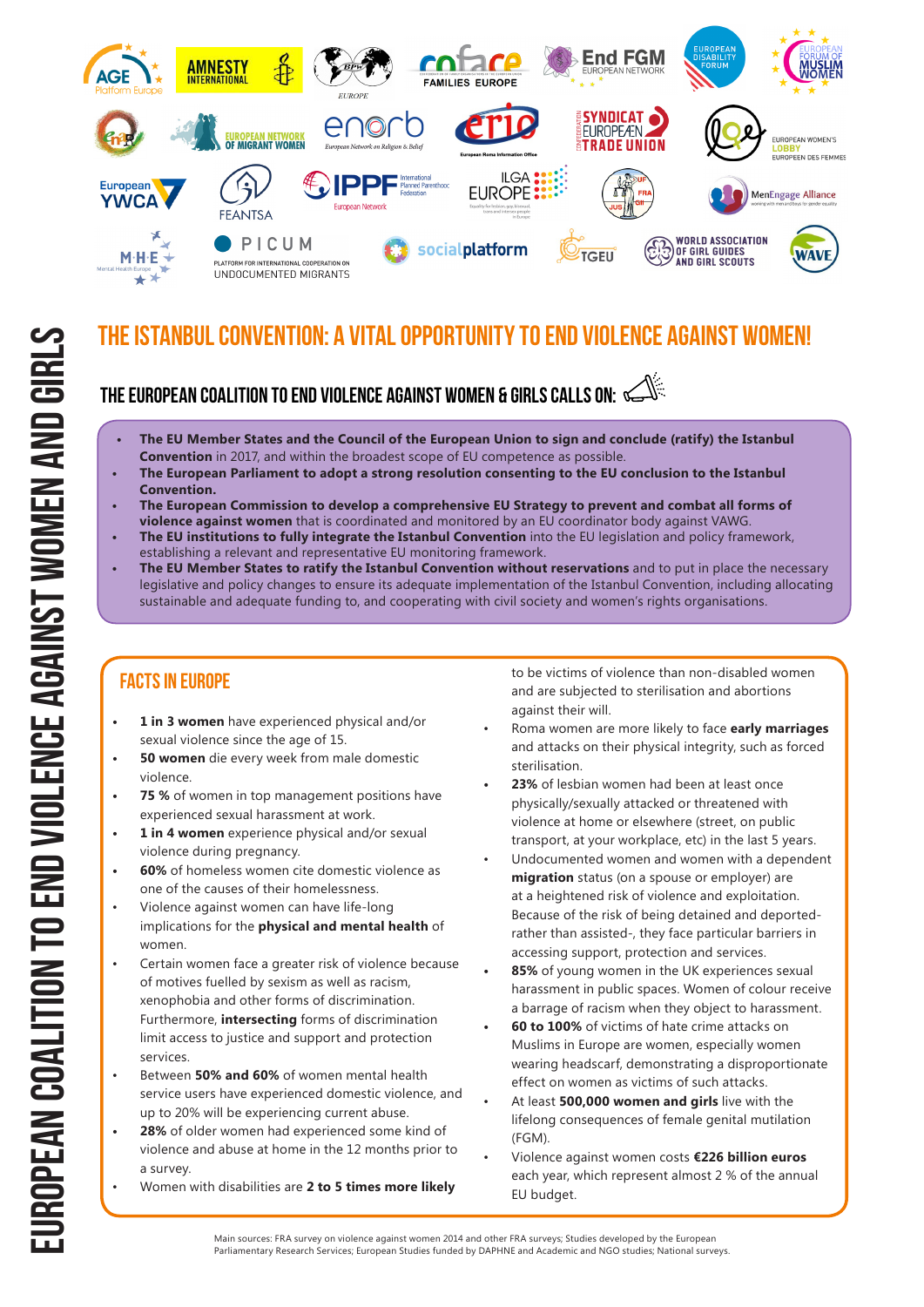

### The Istanbul Convention: A vital opportunity to end violence against women!

### The European Coalition TO END violence against women & girls calls on:

- **• The EU Member States and the Council of the European Union to sign and conclude (ratify) the Istanbul Convention** in 2017, and within the broadest scope of EU competence as possible.
- **• The European Parliament to adopt a strong resolution consenting to the EU conclusion to the Istanbul Convention.**
- **• The European Commission to develop a comprehensive EU Strategy to prevent and combat all forms of violence against women** that is coordinated and monitored by an EU coordinator body against VAWG.
- **• The EU institutions to fully integrate the Istanbul Convention** into the EU legislation and policy framework, establishing a relevant and representative EU monitoring framework.
- **• The EU Member States to ratify the Istanbul Convention without reservations** and to put in place the necessary legislative and policy changes to ensure its adequate implementation of the Istanbul Convention, including allocating sustainable and adequate funding to, and cooperating with civil society and women's rights organisations.

### Facts in Europe

- **• 1 in 3 women** have experienced physical and/or sexual violence since the age of 15.
- **• 50 women** die every week from male domestic violence.
- **75 %** of women in top management positions have experienced sexual harassment at work.
- **• 1 in 4 women** experience physical and/or sexual violence during pregnancy.
- **• 60%** of homeless women cite domestic violence as one of the causes of their homelessness.
- Violence against women can have life-long implications for the **physical and mental health** of women.
- Certain women face a greater risk of violence because of motives fuelled by sexism as well as racism, xenophobia and other forms of discrimination. Furthermore, **intersecting** forms of discrimination limit access to justice and support and protection services.
- Between **50% and 60%** of women mental health service users have experienced domestic violence, and up to 20% will be experiencing current abuse.
- **• 28%** of older women had experienced some kind of violence and abuse at home in the 12 months prior to a survey.
- Women with disabilities are **2 to 5 times more likely**

to be victims of violence than non-disabled women and are subjected to sterilisation and abortions against their will.

- Roma women are more likely to face **early marriages**  and attacks on their physical integrity, such as forced sterilisation.
- **• 23%** of lesbian women had been at least once physically/sexually attacked or threatened with violence at home or elsewhere (street, on public transport, at your workplace, etc) in the last 5 years.
- Undocumented women and women with a dependent **migration** status (on a spouse or employer) are at a heightened risk of violence and exploitation. Because of the risk of being detained and deportedrather than assisted-, they face particular barriers in accessing support, protection and services.
- **• 85%** of young women in the UK experiences sexual harassment in public spaces. Women of colour receive a barrage of racism when they object to harassment.
- **• 60 to 100%** of victims of hate crime attacks on Muslims in Europe are women, especially women wearing headscarf, demonstrating a disproportionate effect on women as victims of such attacks.
- At least **500,000 women and girls** live with the lifelong consequences of female genital mutilation (FGM).
- Violence against women costs **€226 billion euros**  each year, which represent almost 2 % of the annual EU budget.

Main sources: FRA survey on violence against women 2014 and other FRA surveys; Studies developed by the European Parliamentary Research Services; European Studies funded by DAPHNE and Academic and NGO studies; National surveys.